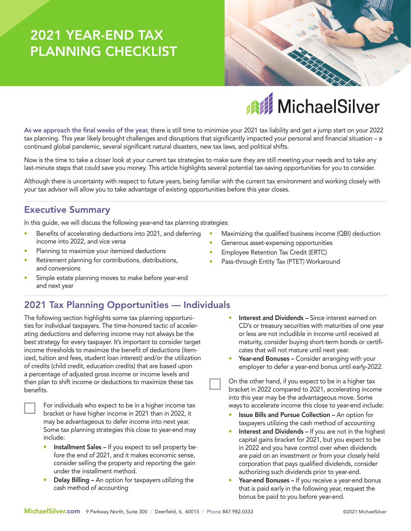# 2021 YEAR-END TAX PLANNING CHECKLIST

last-minute steps that could save you money. This article highlights several potential tax-saving opportunities for you to consider. Although there is uncertainty with respect to future years, being familiar with the current tax environment and working closely with your tax advisor will allow you to take advantage of existing opportunities before this year closes. In this guide, we will discuss the following year-end tax planning strategies:

Benefits of accelerating deductions into 2021, and deferring income into 2022, and vice versa

continued global pandemic, several significant natural disasters, new tax laws, and political shifts.

Planning to maximize your itemized deductions

Executive Summary

- Retirement planning for contributions, distributions, and conversions
- Simple estate planning moves to make before year-end and next year

## 2021 Tax Planning Opportunities — Individuals

The following section highlights some tax planning opportunities for individual taxpayers. The time-honored tactic of accelerating deductions and deferring income may not always be the best strategy for every taxpayer. It's important to consider target income thresholds to maximize the benefit of deductions (itemized, tuition and fees, student loan interest) and/or the utilization of credits (child credit, education credits) that are based upon a percentage of adjusted gross income or income levels and then plan to shift income or deductions to maximize these tax benefits.



For individuals who expect to be in a higher income tax bracket or have higher income in 2021 than in 2022, it may be advantageous to defer income into next year. Some tax planning strategies this close to year-end may include:

- Installment Sales If you expect to sell property before the end of 2021, and it makes economic sense, consider selling the property and reporting the gain under the installment method.
- Delay Billing An option for taxpayers utilizing the cash method of accounting
- Maximizing the qualified business income (QBI) deduction
- Generous asset-expensing opportunities
- Employee Retention Tax Credit (ERTC)
- Pass-through Entity Tax (PTET) Workaround
	- Interest and Dividends Since interest earned on CD's or treasury securities with maturities of one year or less are not includible in income until received at maturity, consider buying short-term bonds or certificates that will not mature until next year.
	- Year-end Bonuses Consider arranging with your employer to defer a year-end bonus until early-2022.

On the other hand, if you expect to be in a higher tax bracket in 2022 compared to 2021, accelerating income into this year may be the advantageous move. Some ways to accelerate income this close to year-end include:

- Issue Bills and Pursue Collection An option for taxpayers utilizing the cash method of accounting
- Interest and Dividends If you are not in the highest capital gains bracket for 2021, but you expect to be in 2022 and you have control over when dividends are paid on an investment or from your closely held corporation that pays qualified dividends, consider authorizing such dividends prior to year-end.
- Year-end Bonuses If you receive a year-end bonus that is paid early in the following year, request the bonus be paid to you before year-end.





As we approach the final weeks of the year, there is still time to minimize your 2021 tax liability and get a jump start on your 2022 tax planning. This year likely brought challenges and disruptions that significantly impacted your personal and financial situation – a

Now is the time to take a closer look at your current tax strategies to make sure they are still meeting your needs and to take any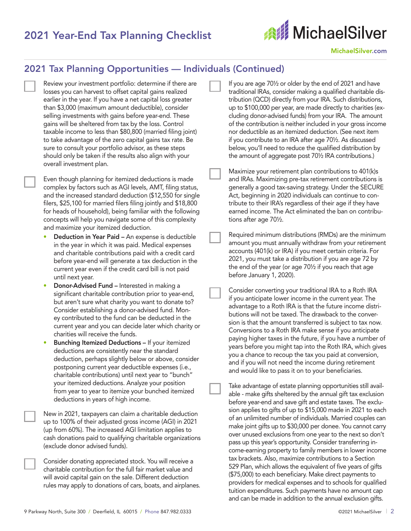## 2021 Year-End Tax Planning Checklist



MichaelSilver.com

#### 2021 Tax Planning Opportunities — Individuals (Continued)

Review your investment portfolio: determine if there are losses you can harvest to offset capital gains realized earlier in the year. If you have a net capital loss greater than \$3,000 (maximum amount deductible), consider selling investments with gains before year-end. These gains will be sheltered from tax by the loss. Control taxable income to less than \$80,800 (married filing joint) to take advantage of the zero capital gains tax rate. Be sure to consult your portfolio advisor, as these steps should only be taken if the results also align with your overall investment plan.

Even though planning for itemized deductions is made complex by factors such as AGI levels, AMT, filing status, and the increased standard deduction (\$12,550 for single filers, \$25,100 for married filers filing jointly and \$18,800 for heads of household), being familiar with the following concepts will help you navigate some of this complexity and maximize your itemized deduction.

- Deduction in Year Paid An expense is deductible in the year in which it was paid. Medical expenses and charitable contributions paid with a credit card before year-end will generate a tax deduction in the current year even if the credit card bill is not paid until next year.
- Donor-Advised Fund Interested in making a significant charitable contribution prior to year-end, but aren't sure what charity you want to donate to? Consider establishing a donor-advised fund. Money contributed to the fund can be deducted in the current year and you can decide later which charity or charities will receive the funds.
- Bunching Itemized Deductions If your itemized deductions are consistently near the standard deduction, perhaps slightly below or above, consider postponing current year deductible expenses (i.e., charitable contributions) until next year to "bunch" your itemized deductions. Analyze your position from year to year to itemize your bunched itemized deductions in years of high income.

New in 2021, taxpayers can claim a charitable deduction up to 100% of their adjusted gross income (AGI) in 2021 (up from 60%). The increased AGI limitation applies to cash donations paid to qualifying charitable organizations (exclude donor advised funds).

Consider donating appreciated stock. You will receive a charitable contribution for the full fair market value and will avoid capital gain on the sale. Different deduction rules may apply to donations of cars, boats, and airplanes. If you are age 70½ or older by the end of 2021 and have traditional IRAs, consider making a qualified charitable distribution (QCD) directly from your IRA. Such distributions, up to \$100,000 per year, are made directly to charities (excluding donor-advised funds) from your IRA. The amount of the contribution is neither included in your gross income nor deductible as an itemized deduction. (See next item if you contribute to an IRA after age 70½. As discussed below, you'll need to reduce the qualified distribution by the amount of aggregate post 70½ IRA contributions.)

Maximize your retirement plan contributions to 401(k)s and IRAs. Maximizing pre-tax retirement contributions is generally a good tax-saving strategy. Under the SECURE Act, beginning in 2020 individuals can continue to contribute to their IRA's regardless of their age if they have earned income. The Act eliminated the ban on contributions after age 70½.

Required minimum distributions (RMDs) are the minimum amount you must annually withdraw from your retirement accounts (401(k) or IRA) if you meet certain criteria. For 2021, you must take a distribution if you are age 72 by the end of the year (or age 70½ if you reach that age before January 1, 2020).

Consider converting your traditional IRA to a Roth IRA if you anticipate lower income in the current year. The advantage to a Roth IRA is that the future income distributions will not be taxed. The drawback to the conversion is that the amount transferred is subject to tax now. Conversions to a Roth IRA make sense if you anticipate paying higher taxes in the future, if you have a number of years before you might tap into the Roth IRA, which gives you a chance to recoup the tax you paid at conversion, and if you will not need the income during retirement and would like to pass it on to your beneficiaries.

Take advantage of estate planning opportunities still available - make gifts sheltered by the annual gift tax exclusion before year-end and save gift and estate taxes. The exclusion applies to gifts of up to \$15,000 made in 2021 to each of an unlimited number of individuals. Married couples can make joint gifts up to \$30,000 per donee. You cannot carry over unused exclusions from one year to the next so don't pass up this year's opportunity. Consider transferring income-earning property to family members in lower income tax brackets. Also, maximize contributions to a Section 529 Plan, which allows the equivalent of five years of gifts (\$75,000) to each beneficiary. Make direct payments to providers for medical expenses and to schools for qualified tuition expenditures. Such payments have no amount cap and can be made in addition to the annual exclusion gifts.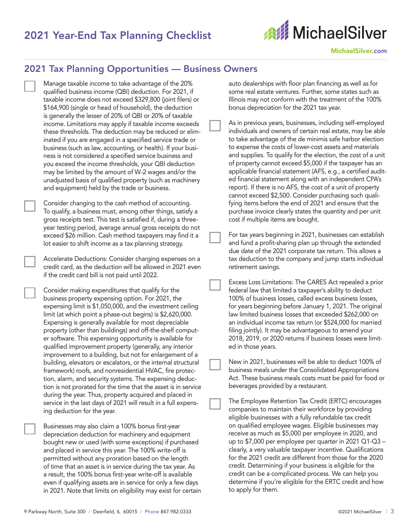## 2021 Year-End Tax Planning Checklist



#### 2021 Tax Planning Opportunities — Business Owners

- Manage taxable income to take advantage of the 20% qualified business income (QBI) deduction. For 2021, if taxable income does not exceed \$329,800 (joint filers) or \$164,900 (single or head of household), the deduction is generally the lesser of 20% of QBI or 20% of taxable income. Limitations may apply if taxable income exceeds these thresholds. The deduction may be reduced or eliminated if you are engaged in a specified service trade or business (such as law, accounting, or health). If your business is not considered a specified service business and you exceed the income thresholds, your QBI deduction may be limited by the amount of W-2 wages and/or the unadjusted basis of qualified property (such as machinery and equipment) held by the trade or business.
	- Consider changing to the cash method of accounting. To qualify, a business must, among other things, satisfy a gross receipts test. This test is satisfied if, during a threeyear testing period, average annual gross receipts do not exceed \$26 million. Cash method taxpayers may find it a lot easier to shift income as a tax planning strategy.

Accelerate Deductions: Consider charging expenses on a credit card, as the deduction will be allowed in 2021 even if the credit card bill is not paid until 2022.

Consider making expenditures that qualify for the business property expensing option. For 2021, the expensing limit is \$1,050,000, and the investment ceiling limit (at which point a phase-out begins) is \$2,620,000. Expensing is generally available for most depreciable property (other than buildings) and off-the-shelf computer software. This expensing opportunity is available for qualified improvement property (generally, any interior improvement to a building, but not for enlargement of a building, elevators or escalators, or the internal structural framework) roofs, and nonresidential HVAC, fire protection, alarm, and security systems. The expensing deduction is not prorated for the time that the asset is in service during the year. Thus, property acquired and placed in service in the last days of 2021 will result in a full expensing deduction for the year.

Businesses may also claim a 100% bonus first-year depreciation deduction for machinery and equipment bought new or used (with some exceptions) if purchased and placed in service this year. The 100% write-off is permitted without any proration based on the length of time that an asset is in service during the tax year. As a result, the 100% bonus first-year write-off is available even if qualifying assets are in service for only a few days in 2021. Note that limits on eligibility may exist for certain auto dealerships with floor plan financing as well as for some real estate ventures. Further, some states such as Illinois may not conform with the treatment of the 100% bonus depreciation for the 2021 tax year.

| As in previous years, businesses, including self-employed     |
|---------------------------------------------------------------|
| individuals and owners of certain real estate, may be able    |
| to take advantage of the de minimis safe harbor election      |
| to expense the costs of lower-cost assets and materials       |
| and supplies. To qualify for the election, the cost of a unit |
| of property cannot exceed \$5,000 if the taxpayer has an      |
| applicable financial statement (AFS, e.g., a certified audit- |
| ed financial statement along with an independent CPA's        |
| report). If there is no AFS, the cost of a unit of property   |
| cannot exceed \$2,500. Consider purchasing such quali-        |
| fying items before the end of 2021 and ensure that the        |
| purchase invoice clearly states the quantity and per unit     |
| cost if multiple items are bought.                            |
|                                                               |

For tax years beginning in 2021, businesses can establish and fund a profit-sharing plan up through the extended due date of the 2021 corporate tax return. This allows a tax deduction to the company and jump starts individual retirement savings.

Excess Loss Limitations: The CARES Act repealed a prior federal law that limited a taxpayer's ability to deduct 100% of business losses, called excess business losses, for years beginning before January 1, 2021. The original law limited business losses that exceeded \$262,000 on an individual income tax return (or \$524,000 for married filing jointly). It may be advantageous to amend your 2018, 2019, or 2020 returns if business losses were limited in those years.

New in 2021, businesses will be able to deduct 100% of business meals under the Consolidated Appropriations Act. These business meals costs must be paid for food or beverages provided by a restaurant.

The Employee Retention Tax Credit (ERTC) encourages companies to maintain their workforce by providing eligible businesses with a fully refundable tax credit on qualified employee wages. Eligible businesses may receive as much as \$5,000 per employee in 2020, and up to \$7,000 per employee per quarter in 2021 Q1-Q3 – clearly, a very valuable taxpayer incentive. Qualifications for the 2021 credit are different from those for the 2020 credit. Determining if your business is eligible for the credit can be a complicated process. We can help you determine if you're eligible for the ERTC credit and how to apply for them.